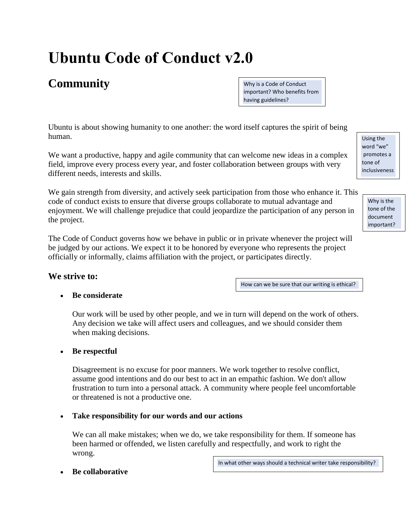# **Ubuntu Code of Conduct v2.0**

# **Community**

Why is a Code of Conduct important? Who benefits from having guidelines?

Ubuntu is about showing humanity to one another: the word itself captures the spirit of being human.

We want a productive, happy and agile community that can welcome new ideas in a complex field, improve every process every year, and foster collaboration between groups with very different needs, interests and skills.

We gain strength from diversity, and actively seek participation from those who enhance it. This code of conduct exists to ensure that diverse groups collaborate to mutual advantage and enjoyment. We will challenge prejudice that could jeopardize the participation of any person in the project.

The Code of Conduct governs how we behave in public or in private whenever the project will be judged by our actions. We expect it to be honored by everyone who represents the project officially or informally, claims affiliation with the project, or participates directly.

# **We strive to:**

How can we be sure that our writing is ethical?

# • **Be considerate**

Our work will be used by other people, and we in turn will depend on the work of others. Any decision we take will affect users and colleagues, and we should consider them when making decisions.

# • **Be respectful**

Disagreement is no excuse for poor manners. We work together to resolve conflict, assume good intentions and do our best to act in an empathic fashion. We don't allow frustration to turn into a personal attack. A community where people feel uncomfortable or threatened is not a productive one.

# • **Take responsibility for our words and our actions**

We can all make mistakes; when we do, we take responsibility for them. If someone has been harmed or offended, we listen carefully and respectfully, and work to right the wrong.

In what other ways should a technical writer take responsibility?

• **Be collaborative**

Using the word "we" promotes a tone of inclusiveness

.

Why is the tone of the document important?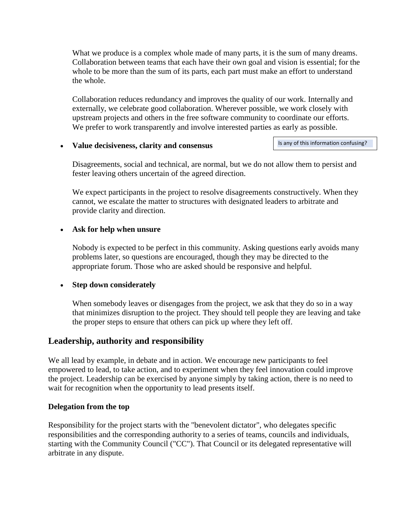What we produce is a complex whole made of many parts, it is the sum of many dreams. Collaboration between teams that each have their own goal and vision is essential; for the whole to be more than the sum of its parts, each part must make an effort to understand the whole.

Collaboration reduces redundancy and improves the quality of our work. Internally and externally, we celebrate good collaboration. Wherever possible, we work closely with upstream projects and others in the free software community to coordinate our efforts. We prefer to work transparently and involve interested parties as early as possible.

#### • **Value decisiveness, clarity and consensus**

Is any of this information confusing?

Disagreements, social and technical, are normal, but we do not allow them to persist and fester leaving others uncertain of the agreed direction.

We expect participants in the project to resolve disagreements constructively. When they cannot, we escalate the matter to structures with designated leaders to arbitrate and provide clarity and direction.

# • **Ask for help when unsure**

Nobody is expected to be perfect in this community. Asking questions early avoids many problems later, so questions are encouraged, though they may be directed to the appropriate forum. Those who are asked should be responsive and helpful.

# • **Step down considerately**

When somebody leaves or disengages from the project, we ask that they do so in a way that minimizes disruption to the project. They should tell people they are leaving and take the proper steps to ensure that others can pick up where they left off.

# **Leadership, authority and responsibility**

We all lead by example, in debate and in action. We encourage new participants to feel empowered to lead, to take action, and to experiment when they feel innovation could improve the project. Leadership can be exercised by anyone simply by taking action, there is no need to wait for recognition when the opportunity to lead presents itself.

# **Delegation from the top**

Responsibility for the project starts with the "benevolent dictator", who delegates specific responsibilities and the corresponding authority to a series of teams, councils and individuals, starting with the Community Council ("CC"). That Council or its delegated representative will arbitrate in any dispute.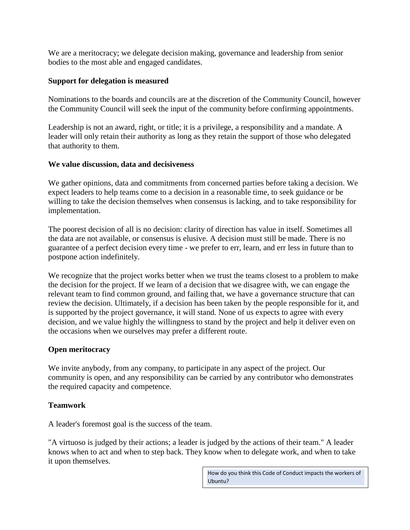We are a meritocracy; we delegate decision making, governance and leadership from senior bodies to the most able and engaged candidates.

## **Support for delegation is measured**

Nominations to the boards and councils are at the discretion of the Community Council, however the Community Council will seek the input of the community before confirming appointments.

Leadership is not an award, right, or title; it is a privilege, a responsibility and a mandate. A leader will only retain their authority as long as they retain the support of those who delegated that authority to them.

## **We value discussion, data and decisiveness**

We gather opinions, data and commitments from concerned parties before taking a decision. We expect leaders to help teams come to a decision in a reasonable time, to seek guidance or be willing to take the decision themselves when consensus is lacking, and to take responsibility for implementation.

The poorest decision of all is no decision: clarity of direction has value in itself. Sometimes all the data are not available, or consensus is elusive. A decision must still be made. There is no guarantee of a perfect decision every time - we prefer to err, learn, and err less in future than to postpone action indefinitely.

We recognize that the project works better when we trust the teams closest to a problem to make the decision for the project. If we learn of a decision that we disagree with, we can engage the relevant team to find common ground, and failing that, we have a governance structure that can review the decision. Ultimately, if a decision has been taken by the people responsible for it, and is supported by the project governance, it will stand. None of us expects to agree with every decision, and we value highly the willingness to stand by the project and help it deliver even on the occasions when we ourselves may prefer a different route.

# **Open meritocracy**

We invite anybody, from any company, to participate in any aspect of the project. Our community is open, and any responsibility can be carried by any contributor who demonstrates the required capacity and competence.

# **Teamwork**

A leader's foremost goal is the success of the team.

"A virtuoso is judged by their actions; a leader is judged by the actions of their team." A leader knows when to act and when to step back. They know when to delegate work, and when to take it upon themselves.

> How do you think this Code of Conduct impacts the workers of Ubuntu?